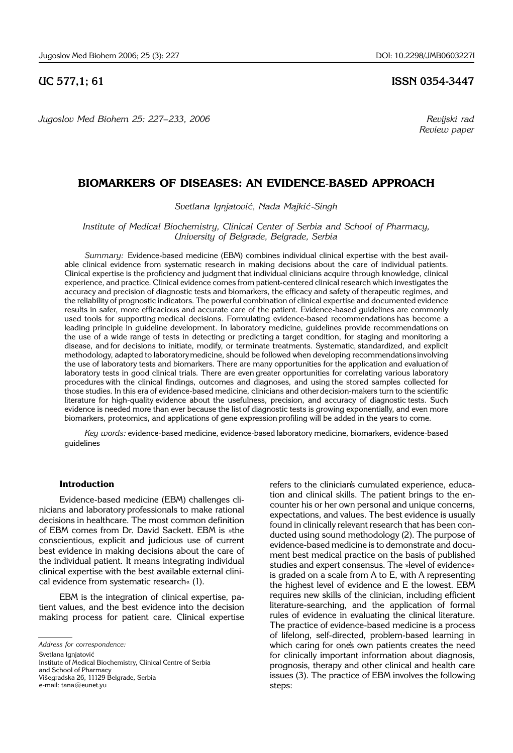*Jugoslov Med Biohem 25: 227*–*233, 2006 Revijski rad*

## **UC 577,1; 61 ISSN 0354-3447**

 *Review paper*

# **BIOMARKERS OF DISEASES: AN EVIDENCE**-**BASED APPROACH**

#### *Svetlana Ignjatovi}, Nada Majki}*-*Singh*

*Institute of Medical Biochemistry, Clinical Center of Serbia and School of Pharmacy, University of Belgrade, Belgrade, Serbia*

*Summary:* Evidence-based medicine (EBM) combines individual clinical expertise with the best available clinical evidence from systematic research in making decisions about the care of individual patients. Clinical expertise is the proficiency and judgment that individual clinicians acquire through knowledge, clinical experience, and practice. Clinical evidence comes from patient-centered clinical research which investigates the accuracy and precision of diagnostic tests and biomarkers, the efficacy and safety of therapeutic regimes, and the reliability of prognostic indicators. The powerful combination of clinical expertise and documented evidence results in safer, more efficacious and accurate care of the patient. Evidence-based guidelines are commonly used tools for supporting medical decisions. Formulating evidence-based recommendations has become a leading principle in guideline development. In laboratory medicine, guidelines provide recommendations on the use of a wide range of tests in detecting or predicting a target condition, for staging and monitoring a disease, and for decisions to initiate, modify, or terminate treatments. Systematic, standardized, and explicit methodology, adapted to laboratorymedicine, should be followed when developing recommendations involving the use of laboratory tests and biomarkers. There are many opportunities for the application and evaluation of laboratory tests in good clinical trials. There are even greater opportunities for correlating various laboratory procedures with the clinical findings, outcomes and diagnoses, and using the stored samples collected for those studies. In this era of evidence-based medicine, clinicians and otherdecision-makers turn to the scientific literature for high-quality evidence about the usefulness, precision, and accuracy of diagnostic tests. Such evidence is needed more than ever because the list of diagnostic tests is growing exponentially, and even more biomarkers, proteomics, and applications of gene expression profiling will be added in the years to come.

*Key words:* evidence-based medicine, evidence-based laboratory medicine, biomarkers, evidence-based guidelines

## **Introduction**

Evidence-based medicine (EBM) challenges clinicians and laboratory professionals to make rational decisions in healthcare. The most common definition of EBM comes from Dr. David Sackett. EBM is »the conscientious, explicit and judicious use of current best evidence in making decisions about the care of the individual patient. It means integrating individual clinical expertise with the best available external clinical evidence from systematic research« (1).

EBM is the integration of clinical expertise, patient values, and the best evidence into the decision making process for patient care. Clinical expertise

Institute of Medical Biochemistry, Clinical Centre of Serbia and School of Pharmacy Višegradska 26, 11129 Belgrade, Serbia e-mail: tana@eunet.yu

refers to the clinician's cumulated experience, education and clinical skills. The patient brings to the encounter his or her own personal and unique concerns, expectations, and values. The best evidence is usually found in clinically relevant research that has been conducted using sound methodology (2). The purpose of evidence-based medicine is to demonstrate and document best medical practice on the basis of published studies and expert consensus. The »level of evidence« is graded on a scale from A to E, with A representing the highest level of evidence and E the lowest. EBM requires new skills of the clinician, including efficient literature-searching, and the application of formal rules of evidence in evaluating the clinical literature. The practice of evidence-based medicine is a process of lifelong, self-directed, problem-based learning in which caring for one's own patients creates the need for clinically important information about diagnosis, prognosis, therapy and other clinical and health care issues (3). The practice of EBM involves the following steps:

*Address for correspondence:*

Svetlana Ignjatović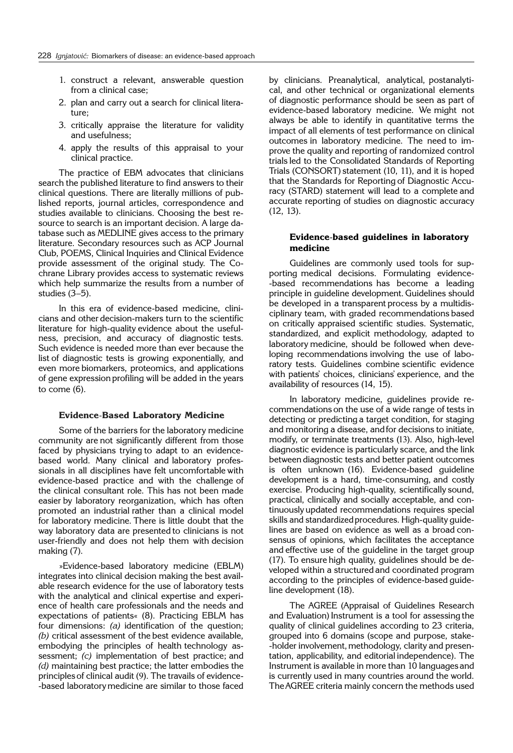- 1. construct a relevant, answerable question from a clinical case;
- 2. plan and carry out a search for clinical literature;
- 3. critically appraise the literature for validity and usefulness;
- 4. apply the results of this appraisal to your clinical practice.

The practice of EBM advocates that clinicians search the published literature to find answers to their clinical questions. There are literally millions of published reports, journal articles, correspondence and studies available to clinicians. Choosing the best resource to search is an important decision. A large database such as MEDLINE gives access to the primary literature. Secondary resources such as ACP Journal Club, POEMS, Clinical Inquiries and Clinical Evidence provide assessment of the original study. The Cochrane Library provides access to systematic reviews which help summarize the results from a number of studies  $(3-5)$ .

In this era of evidence-based medicine, clinicians and other decision-makers turn to the scientific literature for high-quality evidence about the usefulness, precision, and accuracy of diagnostic tests. Such evidence is needed more than ever because the list of diagnostic tests is growing exponentially, and even more biomarkers, proteomics, and applications of gene expression profiling will be added in the years to come (6).

#### **Evidence**-**Based Laboratory Medicine**

Some of the barriers for the laboratory medicine community are not significantly different from those faced by physicians trying to adapt to an evidencebased world. Many clinical and laboratory professionals in all disciplines have felt uncomfortable with evidence-based practice and with the challenge of the clinical consultant role. This has not been made easier by laboratory reorganization, which has often promoted an industrial rather than a clinical model for laboratory medicine. There is little doubt that the way laboratory data are presented to clinicians is not user-friendly and does not help them with decision making (7).

»Evidence-based laboratory medicine (EBLM) integrates into clinical decision making the best available research evidence for the use of laboratory tests with the analytical and clinical expertise and experience of health care professionals and the needs and expectations of patients« (8). Practicing EBLM has four dimensions: *(a)* identification of the question; *(b)* critical assessment of the best evidence available, embodying the principles of health technology assessment; *(c)* implementation of best practice; and *(d)* maintaining best practice; the latter embodies the principles of clinical audit (9). The travails of evidence--based laboratory medicine are similar to those faced by clinicians. Preanalytical, analytical, postanalytical, and other technical or organizational elements of diagnostic performance should be seen as part of evidence-based laboratory medicine. We might not always be able to identify in quantitative terms the impact of all elements of test performance on clinical outcomes in laboratory medicine. The need to improve the quality and reporting of randomized control trials led to the Consolidated Standards of Reporting Trials (CONSORT) statement (10, 11), and it is hoped that the Standards for Reporting of Diagnostic Accuracy (STARD) statement will lead to a complete and accurate reporting of studies on diagnostic accuracy (12, 13).

### **Evidence**-**based guidelines in laboratory medicine**

Guidelines are commonly used tools for supporting medical decisions. Formulating evidence- -based recommendations has become a leading principle in guideline development. Guidelines should be developed in a transparent process by a multidisciplinary team, with graded recommendations based on critically appraised scientific studies. Systematic, standardized, and explicit methodology, adapted to laboratory medicine, should be followed when developing recommendations involving the use of laboratory tests. Guidelines combine scientific evidence with patients' choices, clinicians' experience, and the availability of resources (14, 15).

In laboratory medicine, guidelines provide recommendations on the use of a wide range of tests in detecting or predicting a target condition, for staging and monitoring a disease, andfor decisions to initiate, modify, or terminate treatments (13). Also, high-level diagnostic evidence is particularly scarce, and the link between diagnostic tests and better patient outcomes is often unknown (16). Evidence-based guideline development is a hard, time-consuming, and costly exercise. Producing high-quality, scientifically sound, practical, clinically and socially acceptable, and continuously updated recommendations requires special skills and standardizedprocedures. High-quality guidelines are based on evidence as well as a broad consensus of opinions, which facilitates the acceptance and effective use of the guideline in the target group (17). To ensure high quality, guidelines should be developed within a structured and coordinated program according to the principles of evidence-based guideline development (18).

The AGREE (Appraisal of Guidelines Research and Evaluation) Instrument is a tool for assessing the quality of clinical guidelines according to 23 criteria, grouped into 6 domains (scope and purpose, stake- -holder involvement, methodology, clarity and presentation, applicability, and editorial independence). The Instrument is available in more than 10 languages and is currently used in many countries around the world. TheAGREE criteria mainly concern the methods used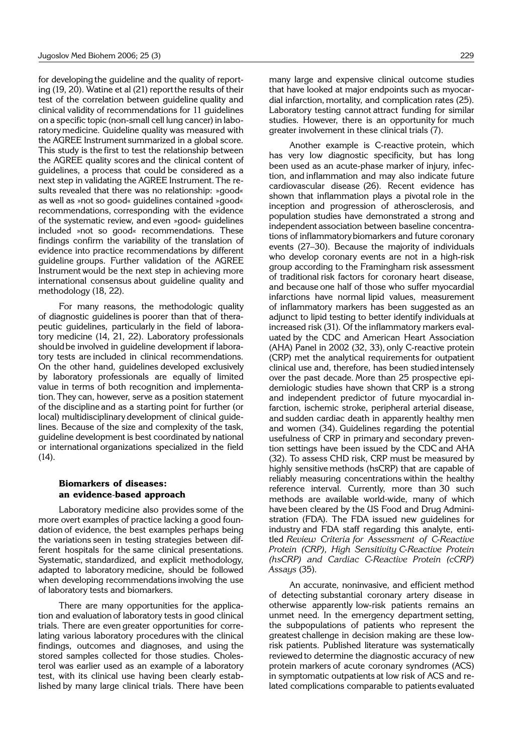for developing the guideline and the quality of reporting (19, 20). Watine et al (21) reportthe results of their test of the correlation between guideline quality and clinical validity of recommendations for 11 guidelines on a specific topic (non-small cell lung cancer) in laboratory medicine. Guideline quality was measured with the AGREE Instrument summarized in a global score. This study is the first to test the relationship between the AGREE quality scores and the clinical content of guidelines, a process that could be considered as a next step in validating the AGREE Instrument.The results revealed that there was no relationship: »good« as well as »not so good« guidelines contained »good« recommendations, corresponding with the evidence of the systematic review, and even »good« guidelines included »not so good« recommendations. These findings confirm the variability of the translation of evidence into practice recommendations by different guideline groups. Further validation of the AGREE Instrument would be the next step in achieving more international consensus about guideline quality and methodology (18, 22).

For many reasons, the methodologic quality of diagnostic guidelines is poorer than that of therapeutic guidelines, particularly in the field of laboratory medicine (14, 21, 22). Laboratory professionals should be involved in guideline development if laboratory tests are included in clinical recommendations. On the other hand, guidelines developed exclusively by laboratory professionals are equally of limited value in terms of both recognition and implementation.They can, however, serve as a position statement of the discipline and as a starting point for further (or local) multidisciplinary development of clinical guidelines. Because of the size and complexity of the task, guideline development is best coordinated by national or international organizations specialized in the field  $(14)$ .

## **Biomarkers of diseases: an evidence**-**based approach**

Laboratory medicine also provides some of the more overt examples of practice lacking a good foundation of evidence, the best examples perhaps being the variations seen in testing strategies between different hospitals for the same clinical presentations. Systematic, standardized, and explicit methodology, adapted to laboratory medicine, should be followed when developing recommendations involving the use of laboratory tests and biomarkers.

There are many opportunities for the application and evaluation of laboratory tests in good clinical trials. There are even greater opportunities for correlating various laboratory procedures with the clinical findings, outcomes and diagnoses, and using the stored samples collected for those studies. Cholesterol was earlier used as an example of a laboratory test, with its clinical use having been clearly established by many large clinical trials. There have been

many large and expensive clinical outcome studies that have looked at major endpoints such as myocardial infarction, mortality, and complication rates (25). Laboratory testing cannot attract funding for similar studies. However, there is an opportunity for much greater involvement in these clinical trials (7).

Another example is C-reactive protein, which has very low diagnostic specificity, but has long been used as an acute-phase marker of injury, infection, and inflammation and may also indicate future cardiovascular disease (26). Recent evidence has shown that inflammation plays a pivotal role in the inception and progression of atherosclerosis, and population studies have demonstrated a strong and independent association between baseline concentrations of inflammatory biomarkers and future coronary events (27-30). Because the majority of individuals who develop coronary events are not in a high-risk group according to the Framingham risk assessment of traditional risk factors for coronary heart disease, and because one half of those who suffer myocardial infarctions have normal lipid values, measurement of inflammatory markers has been suggested as an adjunct to lipid testing to better identify individuals at increased risk (31). Of the inflammatory markers evaluated by the CDC and American Heart Association (AHA) Panel in 2002 (32, 33), only C-reactive protein (CRP) met the analytical requirements for outpatient clinical use and, therefore, has been studied intensely over the past decade. More than 25 prospective epidemiologic studies have shown that CRP is a strong and independent predictor of future myocardial infarction, ischemic stroke, peripheral arterial disease, and sudden cardiac death in apparently healthy men and women (34). Guidelines regarding the potential usefulness of CRP in primary and secondary prevention settings have been issued by the CDC and AHA (32). To assess CHD risk, CRP must be measured by highly sensitive methods (hsCRP) that are capable of reliably measuring concentrations within the healthy reference interval. Currently, more than 30 such methods are available world-wide, many of which have been cleared by the US Food and Drug Administration (FDA). The FDA issued new guidelines for industry and FDA staff regarding this analyte, entitled *Review Criteria for Assessment of C*-*Reactive Protein (CRP), High Sensitivity C*-*Reactive Protein (hsCRP) and Cardiac C*-*Reactive Protein (cCRP) As says* (35).

An accurate, noninvasive, and efficient method of detecting substantial coronary artery disease in otherwise apparently low-risk patients remains an unmet need. In the emergency department setting, the subpopulations of patients who represent the greatest challenge in decision making are these lowrisk patients. Published literature was systematically reviewed to determine the diagnostic accuracy of new protein markers of acute coronary syndromes (ACS) in symptomatic outpatients at low risk of ACS and related complications comparable to patients evaluated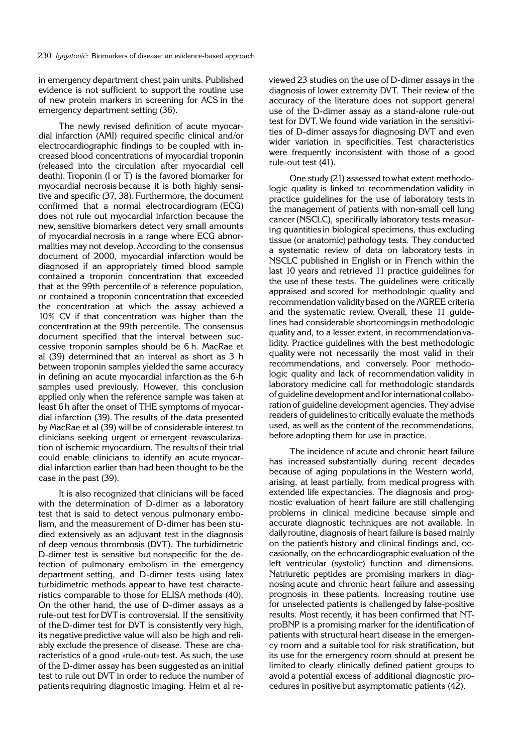in emergency department chest pain units. Published evidence is not sufficient to support the routine use of new protein markers in screening for ACS in the emergency department setting (36).

The newly revised definition of acute myocardial infarction (AMI) required specific clinical and/or electrocardiographic findings to be coupled with increased blood concentrations of myocardial troponin (released into the circulation after myocardial cell death). Troponin (I or T) is the favored biomarker for myocardial necrosis because it is both highly sensitive and specific (37, 38). Furthermore, the document confirmed that a normal electrocardiogram (ECG) does not rule out myocardial infarction because the new, sensitive biomarkers detect very small amounts of myocardial necrosis in a range where ECG abnormalities may not develop.According to the consensus document of 2000, myocardial infarction would be diagnosed if an appropriately timed blood sample contained a troponin concentration that exceeded that at the 99th percentile of a reference population, or contained a troponin concentration that exceeded the concentration at which the assay achieved a 10% CV if that concentration was higher than the concentration at the 99th percentile. The consensus document specified that the interval between successive troponin samples should be 6 h. MacRae et al (39) determined that an interval as short as 3 h between troponin samples yielded the same accuracy in defining an acute myocardial infarction as the 6-h samples used previously. However, this conclusion applied only when the reference sample was taken at least 6 h after the onset of THE symptoms of myocardial infarction (39). The results of the data presented by MacRae et al (39) will be of considerable interest to clinicians seeking urgent or emergent revascularization of ischemic myocardium. The results of their trial could enable clinicians to identify an acute myocardial infarction earlier than had been thought to be the case in the past (39).

It is also recognized that clinicians will be faced with the determination of D-dimer as a laboratory test that is said to detect venous pulmonary embolism, and the measurement of D-dimer has been studied extensively as an adjuvant test in the diagnosis of deep venous thrombosis (DVT). The turbidimetric D-dimer test is sensitive but nonspecific for the detection of pulmonary embolism in the emergency department setting, and D-dimer tests using latex turbidimetric methods appear to have test characteristics comparable to those for ELISA methods (40). On the other hand, the use of D-dimer assays as a rule-out test for DVT is controversial. If the sensitivity of the D-dimer test for DVT is consistently very high, its negative predictive value will also be high and reliably exclude the presence of disease. These are characteristics of a good »rule-out« test. As such, the use of the D-dimer assay has been suggested as an initial test to rule out DVT in order to reduce the number of patients requiring diagnostic imaging. Heim et al reviewed 23 studies on the use of D-dimer assays in the diagnosis of lower extremity DVT. Their review of the accuracy of the literature does not support general use of the D-dimer assay as a stand-alone rule-out test for DVT. We found wide variation in the sensitivities of D-dimer assays for diagnosing DVT and even wider variation in specificities. Test characteristics were frequently inconsistent with those of a good rule-out test (41).

One study (21) assessed to what extent methodologic quality is linked to recommendation validity in practice guidelines for the use of laboratory tests in the management of patients with non-small cell lung cancer(NSCLC), specifically laboratory tests measuring quantities in biological specimens, thus excluding tissue (or anatomic) pathology tests. They conducted a systematic review of data on laboratory tests in NSCLC published in English or in French within the last 10 years and retrieved 11 practice guidelines for the use of these tests. The guidelines were critically appraised and scored for methodologic quality and recommendation validitybased on the AGREE criteria and the systematic review. Overall, these 11 guidelines had considerable shortcomings in methodologic quality and, to a lesser extent, in recommendation validity. Practice guidelines with the best methodologic quality were not necessarily the most valid in their recommendations, and conversely. Poor methodologic quality and lack of recommendation validity in laboratory medicine call for methodologic standards of guideline development and for international collaborationof guideline development agencies. They advise readers of guidelines to critically evaluate the methods used, as well as the content of the recommendations, before adopting them for use in practice.

The incidence of acute and chronic heart failure has increased substantially during recent decades because of aging populations in the Western world, arising, at least partially, from medical progress with extended life expectancies. The diagnosis and prognostic evaluation of heart failure are still challenging problems in clinical medicine because simple and accurate diagnostic techniques are not available. In daily routine, diagnosis of heart failure is based mainly on the patient's history and clinical findings and, occasionally, on the echocardiographic evaluation of the left ventricular (systolic) function and dimensions. Natriuretic peptides are promising markers in diagnosing acute and chronic heart failure and assessing prognosis in these patients. Increasing routine use for unselected patients is challenged by false-positive results. Most recently, it has been confirmed that NTproBNP is a promising marker for the identification of patients with structural heart disease in the emergency room and a suitable tool for risk stratification, but its use for the emergency room should at present be limited to clearly clinically defined patient groups to avoid a potential excess of additional diagnostic procedures in positive but asymptomatic patients (42).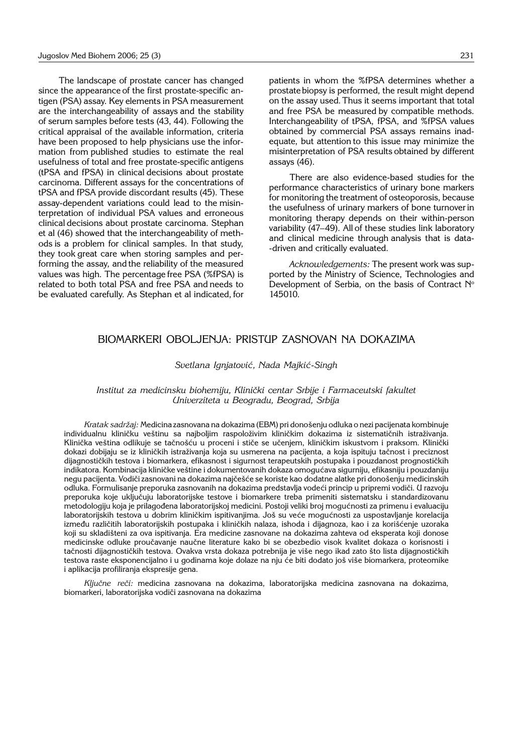The landscape of prostate cancer has changed since the appearance of the first prostate-specific antigen (PSA) assay. Key elements in PSA measurement are the interchangeability of assays and the stability of serum samples before tests (43, 44). Following the critical appraisal of the available information, criteria have been proposed to help physicians use the information from published studies to estimate the real usefulness of total and free prostate-specific antigens (tPSA and fPSA) in clinical decisions about prostate carcinoma. Different assays for the concentrations of tPSA and fPSA provide discordant results (45). These assay-dependent variations could lead to the misinterpretation of individual PSA values and erroneous clinical decisions about prostate carcinoma. Stephan et al (46) showed that the interchangeability of methods is a problem for clinical samples. In that study, they took great care when storing samples and performing the assay, and the reliability of the measured values was high. The percentage free PSA (%fPSA) is related to both total PSA and free PSA and needs to be evaluated carefully. As Stephan et al indicated, for

patients in whom the %fPSA determines whether a prostate biopsy is performed, the result might depend on the assay used. Thus it seems important that total and free PSA be measured by compatible methods. Interchangeability of tPSA, fPSA, and %fPSA values obtained by commercial PSA assays remains inadequate, but attention to this issue may minimize the misinterpretation of PSA results obtained by different assays (46).

There are also evidence-based studies for the performance characteristics of urinary bone markers for monitoring the treatment of osteoporosis, because the usefulness of urinary markers of bone turnover in monitoring therapy depends on their within-person variability (47–49). All of these studies link laboratory and clinical medicine through analysis that is data- -driven and critically evaluated.

*Acknowledgements:* The present work was supported by the Ministry of Science, Technologies and Development of Serbia, on the basis of Contract N° 145010.

## BIOMARKERI OBOLJENJA: PRISTUP ZASNOVAN NA DOKAZIMA

#### *Svetlana Ignjatovi}, Nada Majki}*-*Singh*

#### *Institut za medicinsku biohemiju, Klini~ki centar Srbije i Farmaceutski fakultet Univerziteta u Beogradu, Beograd, Srbija*

*Kratak sadržaj: Medicina zasnovana na dokazima (EBM) pri donošenju odluka o nezi pacijenata kombinuje* individualnu kliničku veštinu sa najboljim raspoloživim kliničkim dokazima iz sistematičnih istraživanja. Klinička veština odlikuje se tačnošću u proceni i stiče se učenjem, kliničkim iskustvom i praksom. Klinički dokazi dobijaju se iz kliničkih istraživanja koja su usmerena na pacijenta, a koja ispituju tačnost i preciznost dijagnostičkih testova i biomarkera, efikasnost i sigurnost terapeutskih postupaka i pouzdanost prognostičkih indikatora. Kombinacija kliničke veštine i dokumentovanih dokaza omogućava sigurniju, efikasniju i pouzdaniju negu pacijenta. Vodiči zasnovani na dokazima najčešće se koriste kao dodatne alatke pri donošenju medicinskih odluka. Formulisanje preporuka zasnovanih na dokazima predstavlja vodeći princip u pripremi vodiči. U razvoju preporuka koje uključuju laboratorijske testove i biomarkere treba primeniti sistematsku i standardizovanu metodologiju koja je prilagođena laboratorijskoj medicini. Postoji veliki broj mogućnosti za primenu i evaluaciju laboratorijskih testova u dobrim kliničkim ispitivanjima. Još su veće mogućnosti za uspostavljanje korelacija između različitih laboratorijskih postupaka i kliničkih nalaza, ishoda i dijagnoza, kao i za korišćenje uzoraka koji su skladišteni za ova ispitivanja. Era medicine zasnovane na dokazima zahteva od eksperata koji donose medicinske odluke proučavanje naučne literature kako bi se obezbedio visok kvalitet dokaza o korisnosti i tačnosti dijagnostičkih testova. Ovakva vrsta dokaza potrebnija je više nego ikad zato što lista dijagnostičkih testova raste eksponencijalno i u godinama koje dolaze na nju će biti dodato još više biomarkera, proteomike i aplikacija profiliranja ekspresije gena.

Ključne reči: medicina zasnovana na dokazima, laboratorijska medicina zasnovana na dokazima, biomarkeri, laboratorijska vodiči zasnovana na dokazima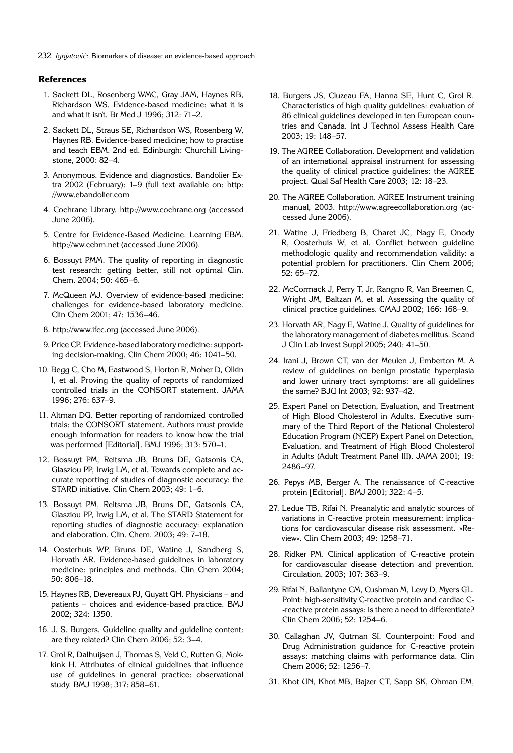#### **References**

- 1. Sackett DL, Rosenberg WMC, Gray JAM, Haynes RB, Richardson WS. Evidence-based medicine: what it is and what it isn't. Br Med J 1996; 312: 71-2.
- 2. Sackett DL, Straus SE, Richardson WS, Rosenberg W, Haynes RB. Evidence-based medicine; how to practise and teach EBM. 2nd ed. Edinburgh: Churchill Livingstone, 2000: 82-4.
- 3. Anonymous. Evidence and diagnostics. Bandolier Extra 2002 (February):  $1-9$  (full text available on: http: //www.ebandolier.com
- 4. Cochrane Library. http://www.cochrane.org (accessed June 2006).
- 5. Centre for Evidence-Based Medicine. Learning EBM. http://ww.cebm.net (accessed June 2006).
- 6. Bossuyt PMM. The quality of reporting in diagnostic test research: getting better, still not optimal Clin. Chem. 2004; 50: 465-6.
- 7. McQueen MJ. Overview of evidence-based medicine: challenges for evidence-based laboratory medicine. Clin Chem 2001; 47: 1536-46.
- 8. http://www.ifcc.org (accessed June 2006).
- 9. Price CP. Evidence-based laboratory medicine: supporting decision-making. Clin Chem 2000; 46: 1041-50.
- 10. Begg C, Cho M, Eastwood S, Horton R, Moher D, Olkin I, et al. Proving the quality of reports of randomized controlled trials in the CONSORT statement. JAMA 1996; 276: 637-9.
- 11. Altman DG. Better reporting of randomized controlled trials: the CONSORT statement. Authors must provide enough information for readers to know how the trial was performed [Editorial]. BMJ 1996; 313: 570-1.
- 12. Bossuyt PM, Reitsma JB, Bruns DE, Gatsonis CA, Glasziou PP, Irwig LM, et al. Towards complete and accurate reporting of studies of diagnostic accuracy: the STARD initiative. Clin Chem 2003; 49: 1-6.
- 13. Bossuyt PM, Reitsma JB, Bruns DE, Gatsonis CA, Glasziou PP, Irwig LM, et al. The STARD Statement for reporting studies of diagnostic accuracy: explanation and elaboration. Clin. Chem. 2003; 49: 7-18.
- 14. Oosterhuis WP, Bruns DE, Watine J, Sandberg S, Horvath AR. Evidence-based guidelines in laboratory medicine: principles and methods. Clin Chem 2004; 50: 806-18.
- 15. Haynes RB, Devereaux PJ, Guyatt GH. Physicians and patients - choices and evidence-based practice. BMJ 2002; 324: 1350.
- 16. J. S. Burgers. Guideline quality and guideline content: are they related? Clin Chem 2006;  $52: 3-4$ .
- 17. Grol R, Dalhuijsen J, Thomas S, Veld C, Rutten G, Mokkink H. Attributes of clinical guidelines that influence use of guidelines in general practice: observational study. BMJ 1998; 317: 858-61.
- 18. Burgers JS, Cluzeau FA, Hanna SE, Hunt C, Grol R. Characteristics of high quality quidelines: evaluation of 86 clinical guidelines developed in ten European countries and Canada. Int J Technol Assess Health Care 2003: 19: 148-57.
- 19. The AGREE Collaboration. Development and validation of an international appraisal instrument for assessing the quality of clinical practice guidelines: the AGREE project. Qual Saf Health Care 2003; 12: 18-23.
- 20. The AGREE Collaboration. AGREE Instrument training manual, 2003. http://www.agreecollaboration.org (accessed June 2006).
- 21. Watine J, Friedberg B, Charet JC, Nagy E, Onody R, Oosterhuis W, et al. Conflict between guideline methodologic quality and recommendation validity: a potential problem for practitioners. Clin Chem 2006; 52: 65-72.
- 22. McCormack J, Perry T, Jr, Rangno R, Van Breemen C, Wright JM, Baltzan M, et al. Assessing the quality of clinical practice guidelines. CMAJ 2002; 166: 168-9.
- 23. Horvath AR, Nagy E, Watine J. Quality of guidelines for the laboratory management of diabetes mellitus. Scand J Clin Lab Invest Suppl 2005; 240: 41-50.
- 24. Irani J, Brown CT, van der Meulen J, Emberton M. A review of guidelines on benign prostatic hyperplasia and lower urinary tract symptoms: are all guidelines the same? BJU Int 2003; 92: 937-42.
- 25. Expert Panel on Detection, Evaluation, and Treatment of High Blood Cholesterol in Adults. Executive summary of the Third Report of the National Cholesterol Education Program (NCEP) Expert Panel on Detection, Evaluation, and Treatment of High Blood Cholesterol in Adults (Adult Treatment Panel III). JAMA 2001; 19: 2486-97.
- 26. Pepys MB, Berger A. The renaissance of C-reactive protein [Editorial]. BMJ 2001; 322: 4-5.
- 27. Ledue TB, Rifai N. Preanalytic and analytic sources of variations in C-reactive protein measurement: implications for cardiovascular disease risk assessment. »Review«. Clin Chem 2003; 49: 1258-71.
- 28. Ridker PM. Clinical application of C-reactive protein for cardiovascular disease detection and prevention. Circulation. 2003; 107: 363-9.
- 29. Rifai N, Ballantyne CM, Cushman M, Levy D, Myers GL. Point: high-sensitivity C-reactive protein and cardiac C- -reactive protein assays: is there a need to differentiate? Clin Chem 2006; 52: 1254-6.
- 30. Callaghan JV, Gutman SI. Counterpoint: Food and Drug Administration guidance for C-reactive protein assays: matching claims with performance data. Clin Chem 2006; 52: 1256-7.
- 31. Khot UN, Khot MB, Bajzer CT, Sapp SK, Ohman EM,